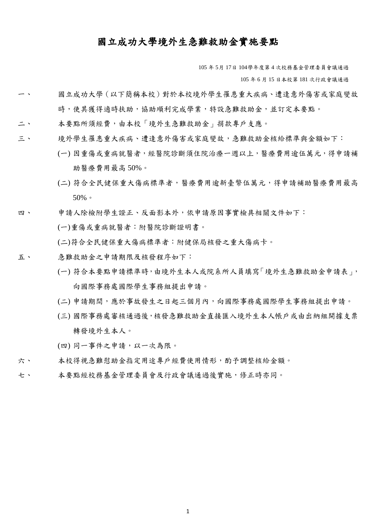## 國立成功大學境外生急難救助金實施要點

105 年 5月 17日 104學年度第 4 次校務基金管理委員會議通過

105 年 6 月 15 日本校第 181 次行政會議通過

- 一、 國立成功大學(以下簡稱本校)對於本校境外學生罹患重大疾病、遭逢意外傷害或家庭變故 時,使其獲得適時扶助,協助順利完成學業,特設急難救助金,並訂定本要點。
- 二、 本要點所須經費,由本校「境外生急難救助金」捐款專戶支應。
- 三、 境外學生罹患重大疾病、遭逢意外傷害或家庭變故,急難救助金核給標準與金額如下:
	- (一) 因重傷或重病就醫者,經醫院診斷須住院治療一週以上,醫療費用逾伍萬元,得申請補 助醫療費用最高 50%。
	- (二) 符合全民健保重大傷病標準者,醫療費用逾新臺幣伍萬元,得申請補助醫療費用最高 50%。
- 四、 申請人除檢附學生證正、反面影本外,依申請原因事實檢具相關文件如下:
	- (一)重傷或重病就醫者:附醫院診斷證明書。
	- (二)符合全民健保重大傷病標準者:附健保局核發之重大傷病卡。
- 五、 急難救助金之申請期限及核發程序如下:
	- (一) 符合本要點申請標準時,由境外生本人或院系所人員填寫「境外生急難救助金申請表」, 向國際事務處國際學生事務組提出申請。
	- (二) 申請期間,應於事故發生之日起三個月內,向國際事務處國際學生事務組提出申請。
	- (三) 國際事務處審核通過後,核發急難救助金直接匯入境外生本人帳戶或由出納組開據支票 轉發境外生本人。
	- (四) 同一事件之申請,以一次為限。
- 六、 本校得視急難慰助金指定用途專戶經費使用情形,酌予調整核給金額。
- 七、 本要點經校務基金管理委員會及行政會議通過後實施,修正時亦同。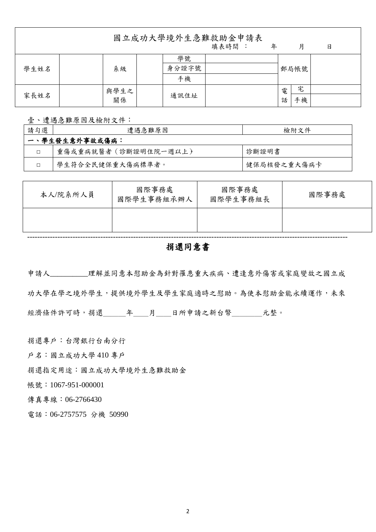國立成功大學境外生急難救助金申請表

|      |            |      |             |   | 填表時間 | 年    |  | 月 | 日 |
|------|------------|------|-------------|---|------|------|--|---|---|
| 學生姓名 | 系級         |      | 學號<br>身分證字號 |   |      | 郵局帳號 |  |   |   |
|      |            |      | 手機          |   |      |      |  |   |   |
| 家長姓名 | 與學生之<br>關係 |      |             | 電 |      | 宅    |  |   |   |
|      |            | 通訊住址 |             | 話 | 手機   |      |  |   |   |

壹、遭遇急難原因及檢附文件:

| 請勾選 | 遭遇急難原因               | 檢附文件        |  |  |  |  |
|-----|----------------------|-------------|--|--|--|--|
|     | 一、學生發生意外事故或傷病:       |             |  |  |  |  |
|     | 重傷或重病就醫者(診斷證明住院一週以上) | 診斷證明書       |  |  |  |  |
|     | 學生符合全民健保重大傷病標準者。     | 健保局核發之重大傷病卡 |  |  |  |  |

| 本人/院系所人員 | 國際事務處<br>國際學生事務組承辦人 | 國際事務處<br>國際學生事務組長 | 國際事務處 |  |  |
|----------|---------------------|-------------------|-------|--|--|
|          |                     |                   |       |  |  |
|          |                     |                   |       |  |  |

## 捐還同意書

申請人\_\_\_\_\_\_\_\_\_\_理解並同意本慰助金為針對罹患重大疾病、遭逢意外傷害或家庭變故之國立成 功大學在學之境外學生,提供境外學生及學生家庭適時之慰助。為使本慰助金能永續運作,未來 經濟條件許可時,捐還\_\_\_\_\_年\_\_\_月\_\_\_日所申請之新台幣\_\_\_\_\_\_元整。

捐還專戶:台灣銀行台南分行

戶名:國立成功大學 410 專戶

捐還指定用途:國立成功大學境外生急難救助金

帳號:1067-951-000001

傳真專線:06-2766430

電話:06-2757575 分機 50990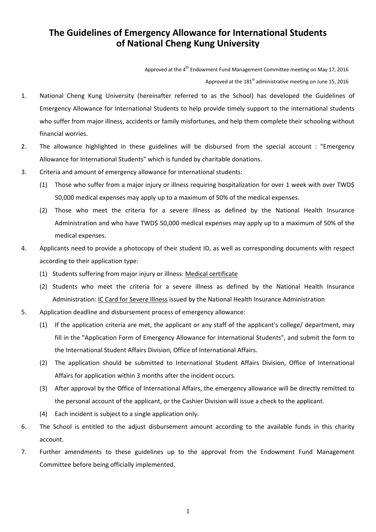## **The Guidelines of Emergency Allowance for International Students of National Cheng Kung University**

Approved at the  $4<sup>th</sup>$  Endowment Fund Management Committee meeting on May 17, 2016 Approved at the  $181<sup>st</sup>$  administrative meeting on June 15, 2016

- 1. National Cheng Kung University (hereinafter referred to as the School) has developed the Guidelines of Emergency Allowance for International Students to help provide timely support to the international students who suffer from major illness, accidents or family misfortunes, and help them complete their schooling without financial worries.
- 2. The allowance highlighted in these guidelines will be disbursed from the special account : "Emergency Allowance for International Students" which is funded by charitable donations.
- 3. Criteria and amount of emergency allowance for international students:
	- (1) Those who suffer from a major injury or illness requiring hospitalization for over 1 week with over TWD\$ 50,000 medical expenses may apply up to a maximum of 50% of the medical expenses.
	- (2) Those who meet the criteria for a severe illness as defined by the National Health Insurance Administration and who have TWD\$ 50,000 medical expenses may apply up to a maximum of 50% of the medical expenses.
- 4. Applicants need to provide a photocopy of their student ID, as well as corresponding documents with respect according to their application type:
	- (1) Students suffering from major injury or illness: Medical certificate
	- (2) Students who meet the criteria for a severe illness as defined by the National Health Insurance Administration: IC Card for Severe Illness issued by the National Health Insurance Administration
- 5. Application deadline and disbursement process of emergency allowance:
	- (1) If the application criteria are met, the applicant or any staff of the applicant's college/ department, may fill in the "Application Form of Emergency Allowance for International Students", and submit the form to the International Student Affairs Division, Office of International Affairs.
	- (2) The application should be submitted to International Student Affairs Division, Office of International Affairs for application within 3 months after the incident occurs.
	- (3) After approval by the Office of International Affairs, the emergency allowance will be directly remitted to the personal account of the applicant, or the Cashier Division will issue a check to the applicant.
	- (4) Each incident is subject to a single application only.
- 6. The School is entitled to the adjust disbursement amount according to the available funds in this charity account.
- 7. Further amendments to these guidelines up to the approval from the Endowment Fund Management Committee before being officially implemented.